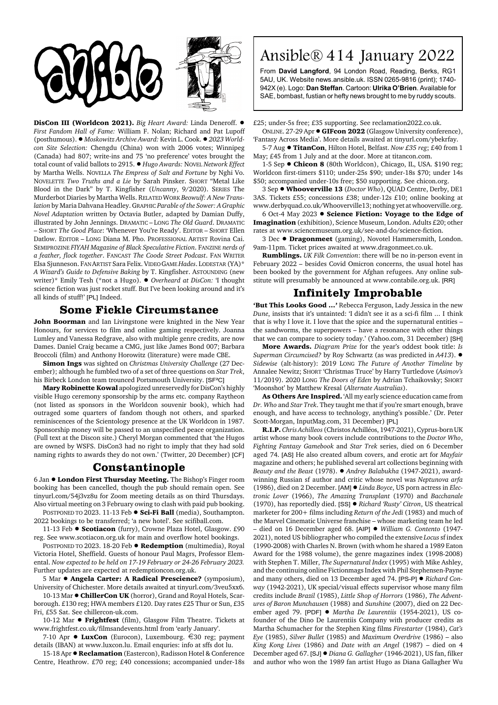

DisCon III (Worldcon 2021). *Big Heart Award: Linda Deneroff.*  $\bullet$ *First Fandom Hall of Fame:* William F. Nolan; Richard and Pat Lupoff (posthumous). ! *Moskowitz Archive Award:* Kevin L. Cook. ! *2023 Worldcon Site Selection:* Chengdu (China) won with 2006 votes; Winnipeg (Canada) had 807; write-ins and 75 'no preference' votes brought the total count of valid ballots to 2915. ! *Hugo Awards:* NOVEL *Network Effect* by Martha Wells. NOVELLA *The Empress of Salt and Fortune* by Nghi Vo. NOVELETTE *Two Truths and a Lie* by Sarah Pinsker. SHORT "Metal Like Blood in the Dark" by T. Kingfisher (*Uncanny*, 9/2020). SERIES The Murderbot Diaries by Martha Wells. RELATED WORK *Beowulf: A New Translation* by Maria Dahvana Headley. GRAPHIC *Parable of the Sower: A Graphic Novel Adaptation* written by Octavia Butler, adapted by Damian Duffy, illustrated by John Jennings. DRAMATIC – LONG *The Old Guard*. DRAMATIC – SHORT *The Good Place*: 'Whenever You're Ready'. EDITOR – SHORT Ellen Datlow. EDITOR – LONG Diana M. Pho. PROFESSIONAL ARTIST Rovina Cai. SEMIPROZINE *FIYAH Magazine of Black Speculative Fiction*. FANZINE *nerds of a feather, flock together*. FANCAST *The Coode Street Podcast*. FAN WRITER Elsa Sjunneson. FAN ARTIST Sara Felix. VIDEO GAME *Hades*. LODESTAR (YA)\* *A Wizard's Guide to Defensive Baking* by T. Kingfisher. ASTOUNDING (new writer)\* Emily Tesh (\*not a Hugo). ! *Overheard at DisCon:* 'I thought science fiction was just rocket stuff. But I've been looking around and it's all kinds of stuff!' [PL] Indeed.

## **Some Fickle Circumstance**

**John Boorman** and Ian Livingstone were knighted in the New Year Honours, for services to film and online gaming respectively. Joanna Lumley and Vanessa Redgrave, also with multiple genre credits, are now Dames. Daniel Craig became a CMG, just like James Bond 007; Barbara Broccoli (film) and Anthony Horowitz (literature) were made CBE.

**Simon Ings** was sighted on *Christmas University Challenge* (27 December); although he fumbled two of a set of three questions on *Star Trek*, his Birbeck London team trounced Portsmouth University. [SF²C]

**Mary Robinette Kowal** apologized unreservedly for DisCon's highly visible Hugo ceremony sponsorship by the arms etc. company Raytheon (not listed as sponsors in the Worldcon souvenir book), which had outraged some quarters of fandom though not others, and sparked reminiscences of the Scientology presence at the UK Worldcon in 1987. Sponsorship money will be passed to an unspecified peace organization. (Full text at the Discon site.) Cheryl Morgan commented that 'the Hugos are owned by WSFS. DisCon3 had no right to imply that they had sold naming rights to awards they do not own.' (Twitter, 20 December) [CF]

## **Constantinople**

6 Jan ! **London First Thursday Meeting.** The Bishop's Finger room booking has been cancelled, though the pub should remain open. See tinyurl.com/54j3vz8u for Zoom meeting details as on third Thursdays. Also virtual meeting on 3 February owing to clash with paid pub booking.

POSTPONED TO 2023. 11-13 Feb ● Sci-Fi Ball (media), Southampton. 2022 bookings to be transferred; 'a new hotel'. See scifiball.com.

11-13 Feb  $\bullet$  **Scotiacon** (furry), Crowne Plaza Hotel, Glasgow. £90 reg. See www.scotiacon.org.uk for main and overflow hotel bookings.

POSTPONED TO 2023. 18-20 Feb  $\bullet$  **Redemption** (multimedia), Royal Victoria Hotel, Sheffield. Guests of honour Paul Magrs, Professor Elemental. *Now expected to be held on 17-19 February or 24-26 February 2023.* Further updates are expected at redemptioncon.org.uk.

5 Mar ! **Angela Carter: A Radical Prescience?** (symposium), University of Chichester. More details awaited at tinyurl.com/3veu5xx6.

10-13 Mar ! **ChillerCon UK** (horror), Grand and Royal Hotels, Scarborough. £130 reg; HWA members £120. Day rates £25 Thur or Sun, £35 Fri, £55 Sat. See chillercon-uk.com.

10-12 Mar  $\bullet$  **Frightfest** (film), Glasgow Film Theatre. Tickets at www.frightfest.co.uk/filmsandevents.html from 'early January'.

7-10 Apr  $\bullet$  **LuxCon** (Eurocon), Luxembourg.  $\in$ 30 reg; payment details (IBAN) at www.luxcon.lu. Email enquries: info at sffs dot lu.

15-18 Apr  $\bullet$  **Reclamation** (Eastercon), Radisson Hotel & Conference Centre, Heathrow. £70 reg; £40 concessions; accompanied under-18s

## Ansible® 414 January 2022

From **David Langford**, 94 London Road, Reading, Berks, RG1 5AU, UK. Website news.ansible.uk. ISSN 0265-9816 (print); 1740- 942X (e). Logo: **Dan Steffan**. Cartoon: **Ulrika O'Brien**. Available for SAE, bombast, fustian or hefty news brought to me by ruddy scouts.

£25; under-5s free; £35 supporting. See reclamation2022.co.uk.

ONLINE. 27-29 Apr ! **GIFcon 2022** (Glasgow University conference), 'Fantasy Across Media'. More details awaited at tinyurl.com/ybekrfay.

5-7 Aug ! **TitanCon**, Hilton Hotel, Belfast. *Now £35 reg*; £40 from 1 May; £45 from 1 July and at the door. More at titancon.com.

1-5 Sep  $\bullet$  **Chicon 8** (80th Worldcon), Chicago, IL, USA. \$190 reg; Worldcon first-timers \$110; under-25s \$90; under-18s \$70; under 14s \$50; accompanied under-10s free; \$50 supporting. See chicon.org.

3 Sep ! **Whooverville 13** (*Doctor Who*), QUAD Centre, Derby, DE1 3AS. Tickets £55; concessions £38; under-12s £10; online booking at www.derbyquad.co.uk/Whooverville13; nothing yet at whooverville.org.

6 Oct-4 May 2023 ! **Science Fiction: Voyage to the Edge of Imagination** (exhibition), Science Museum, London. Adults £20; other rates at www.sciencemuseum.org.uk/see-and-do/science-fiction.

3 Dec ! **Dragonmeet** (gaming), Novotel Hammersmith, London. 9am-11pm. Ticket prices awaited at www.dragonmeet.co.uk.

**Rumblings.** *UK Filk Convention*: there will be no in-person event in February 2022 – besides Covid Omicron concerns, the usual hotel has been booked by the government for Afghan refugees. Any online substitute will presumably be announced at www.contabile.org.uk. [RR]

## **Infinitely Improbable**

**'But This Looks Good ...'** Rebecca Ferguson, Lady Jessica in the new *Dune*, insists that it's untainted: 'I didn't see it as a sci-fi film ... I think that is why I love it. I love that the spice and the supernatural entities – the sandworms, the superpowers – have a resonance with other things that we can compare to society today.' (Yahoo.com, 31 December) [SH]

**More Awards.** *Diagram Prize* for the year's oddest book title: *Is Superman Circumcised?* by Roy Schwartz (as was predicted in *A413*). ! *Sidewise* (alt-history): 2019 LONG *The Future of Another Timeline* by Annalee Newitz; SHORT 'Christmas Truce' by Harry Turtledove (*Asimov's* 11/2019). 2020 LONG *The Doors of Eden* by Adrian Tchaikovsky; SHORT 'Moonshot' by Matthew Kresal (*Alternate Australias*).

**As Others Are Inspired.** 'All my early science education came from *Dr. Who* and *Star Trek*. They taught me that if you're smart enough, brave enough, and have access to technology, anything's possible.' (Dr. Peter Scott-Morgan, InputMag.com, 31 December) [PL]

**R.I.P.** *Chris Achilleos* (Christos Achilléos, 1947-2021), Cyprus-born UK artist whose many book covers include contributions to the *Doctor Who*, *Fighting Fantasy Gamebook* and *Star Trek* series, died on 6 December aged 74. [AS] He also created album covers, and erotic art for *Mayfair* magazine and others; he published several art collections beginning with *Beauty and the Beast* (1978). ! *Andrey Balabukha* (1947-2021), awardwinning Russian sf author and critic whose novel was *Neptunova arfa* (1986), died on 2 December. [AM] ! *Linda Boyce*, US porn actress in *Electronic Lover* (1966), *The Amazing Transplant* (1970) and *Bacchanale* (1970), has reportedly died. [SS] ! *Richard 'Rusty' Citron*, US theatrical marketer for 200+ films including *Return of the Jedi* (1983) and much of the Marvel Cinematic Universe franchise – whose marketing team he led – died on 16 December aged 68. [AIP] ! *William G. Contento* (1947- 2021), noted US bibliographer who compiled the extensive *Locus* sf index (1990-2008) with Charles N. Brown (with whom he shared a 1989 Eaton Award for the 1988 volume), the genre magazines index (1998-2008) with Stephen T. Miller, *The Supernatural Index* (1995) with Mike Ashley, and the continuing online Fictionmags Index with Phil Stephensen-Payne and many others, died on 13 December aged 74. [PS-P] ! *Richard Conway* (1942-2021), UK special/visual effects supervisor whose many film credits include *Brazil* (1985), *Little Shop of Horrors* (1986), *The Adventures of Baron Munchausen* (1988) and *Sunshine* (2007), died on 22 December aged 79. [PDF] ! *Martha De Laurentiis* (1954-2021), US cofounder of the Dino De Laurentiis Company with producer credits as Martha Schumacher for the Stephen King films *Firestarter* (1984), *Cat's Eye* (1985), *Silver Bullet* (1985) and *Maximum Overdrive* (1986) – also *King Kong Lives* (1986) and *Date with an Angel* (1987) – died on 4 December aged 67. [SJ] ! *Diana G. Gallagher* (1946-2021), US fan, filker and author who won the 1989 fan artist Hugo as Diana Gallagher Wu